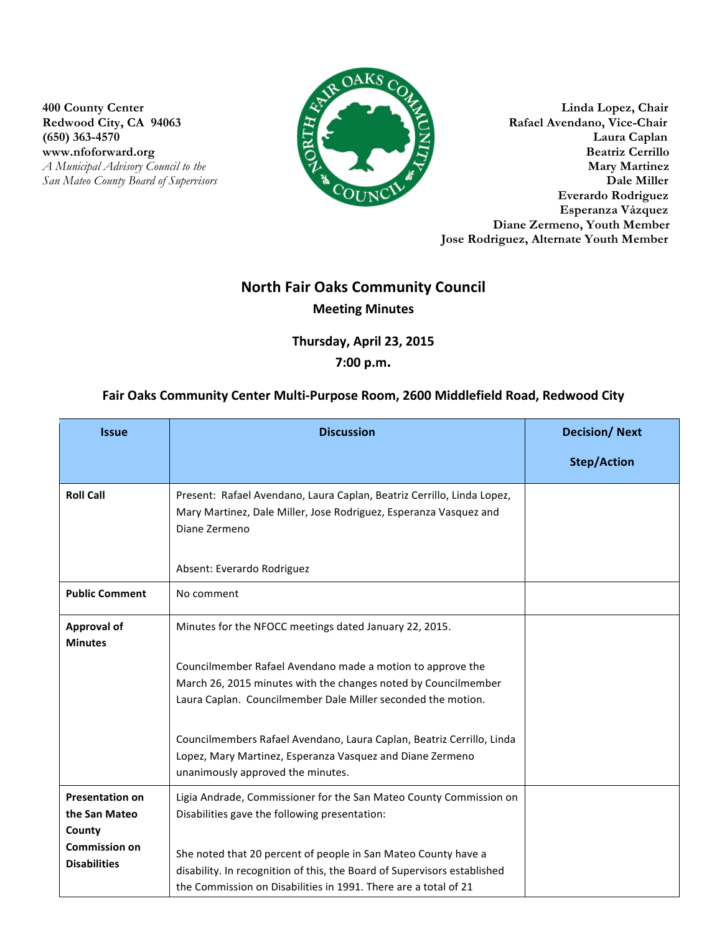**(650) 363-4570** 

**San Mateo County Board of Supervisors** 



**400 County Center Linda Lopez, Chair** Redwood City, CA 94063 Rafael Avendano, Vice-Chair<br>
(650) 363-4570 Laura Caplan www.nfoforward.org Beatriz Cerrillo *A Municipal Advisory Council to the* **Mary Martinez**<br> **A** *Mary Martinez*<br> **Dale Miller Everardo Rodriguez Esperanza Vázquez Diane Zermeno, Youth Member Jose Rodriguez, Alternate Youth Member**

## **North Fair Oaks Community Council Meeting Minutes**

Thursday, April 23, 2015

## **7:00 p.m.**

## Fair Oaks Community Center Multi-Purpose Room, 2600 Middlefield Road, Redwood City

| <b>Issue</b>                                      | <b>Discussion</b>                                                                                                                                                                                             | <b>Decision/Next</b> |
|---------------------------------------------------|---------------------------------------------------------------------------------------------------------------------------------------------------------------------------------------------------------------|----------------------|
|                                                   |                                                                                                                                                                                                               | <b>Step/Action</b>   |
| <b>Roll Call</b>                                  | Present: Rafael Avendano, Laura Caplan, Beatriz Cerrillo, Linda Lopez,<br>Mary Martinez, Dale Miller, Jose Rodriguez, Esperanza Vasquez and<br>Diane Zermeno<br>Absent: Everardo Rodriguez                    |                      |
| <b>Public Comment</b>                             | No comment                                                                                                                                                                                                    |                      |
| <b>Approval of</b><br><b>Minutes</b>              | Minutes for the NFOCC meetings dated January 22, 2015.                                                                                                                                                        |                      |
|                                                   | Councilmember Rafael Avendano made a motion to approve the<br>March 26, 2015 minutes with the changes noted by Councilmember<br>Laura Caplan. Councilmember Dale Miller seconded the motion.                  |                      |
|                                                   | Councilmembers Rafael Avendano, Laura Caplan, Beatriz Cerrillo, Linda<br>Lopez, Mary Martinez, Esperanza Vasquez and Diane Zermeno<br>unanimously approved the minutes.                                       |                      |
| <b>Presentation on</b><br>the San Mateo<br>County | Ligia Andrade, Commissioner for the San Mateo County Commission on<br>Disabilities gave the following presentation:                                                                                           |                      |
| <b>Commission on</b><br><b>Disabilities</b>       | She noted that 20 percent of people in San Mateo County have a<br>disability. In recognition of this, the Board of Supervisors established<br>the Commission on Disabilities in 1991. There are a total of 21 |                      |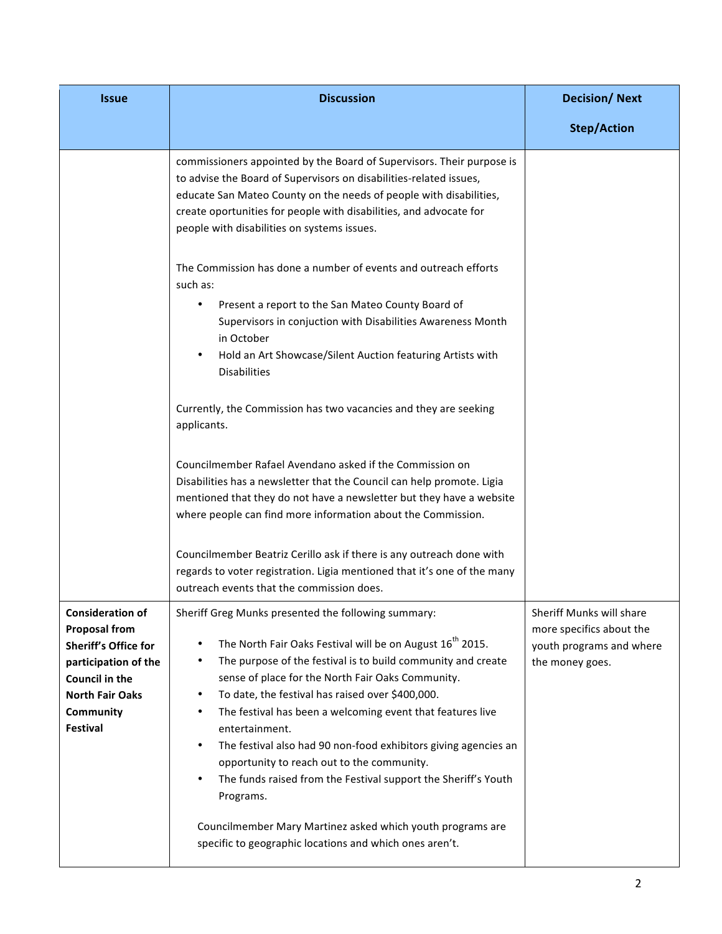| <b>Issue</b>                                                                                                                                                                              | <b>Discussion</b>                                                                                                                                                                                                                                                                                                                                                                                                                                                                                                                                                                                                              | <b>Decision/Next</b>                                                                                |
|-------------------------------------------------------------------------------------------------------------------------------------------------------------------------------------------|--------------------------------------------------------------------------------------------------------------------------------------------------------------------------------------------------------------------------------------------------------------------------------------------------------------------------------------------------------------------------------------------------------------------------------------------------------------------------------------------------------------------------------------------------------------------------------------------------------------------------------|-----------------------------------------------------------------------------------------------------|
|                                                                                                                                                                                           |                                                                                                                                                                                                                                                                                                                                                                                                                                                                                                                                                                                                                                | <b>Step/Action</b>                                                                                  |
|                                                                                                                                                                                           | commissioners appointed by the Board of Supervisors. Their purpose is<br>to advise the Board of Supervisors on disabilities-related issues,<br>educate San Mateo County on the needs of people with disabilities,<br>create oportunities for people with disabilities, and advocate for<br>people with disabilities on systems issues.                                                                                                                                                                                                                                                                                         |                                                                                                     |
|                                                                                                                                                                                           | The Commission has done a number of events and outreach efforts<br>such as:                                                                                                                                                                                                                                                                                                                                                                                                                                                                                                                                                    |                                                                                                     |
|                                                                                                                                                                                           | Present a report to the San Mateo County Board of<br>Supervisors in conjuction with Disabilities Awareness Month<br>in October<br>Hold an Art Showcase/Silent Auction featuring Artists with<br><b>Disabilities</b>                                                                                                                                                                                                                                                                                                                                                                                                            |                                                                                                     |
|                                                                                                                                                                                           | Currently, the Commission has two vacancies and they are seeking<br>applicants.                                                                                                                                                                                                                                                                                                                                                                                                                                                                                                                                                |                                                                                                     |
|                                                                                                                                                                                           | Councilmember Rafael Avendano asked if the Commission on<br>Disabilities has a newsletter that the Council can help promote. Ligia<br>mentioned that they do not have a newsletter but they have a website<br>where people can find more information about the Commission.                                                                                                                                                                                                                                                                                                                                                     |                                                                                                     |
|                                                                                                                                                                                           | Councilmember Beatriz Cerillo ask if there is any outreach done with<br>regards to voter registration. Ligia mentioned that it's one of the many<br>outreach events that the commission does.                                                                                                                                                                                                                                                                                                                                                                                                                                  |                                                                                                     |
| <b>Consideration of</b><br><b>Proposal from</b><br><b>Sheriff's Office for</b><br>participation of the<br><b>Council in the</b><br><b>North Fair Oaks</b><br>Community<br><b>Festival</b> | Sheriff Greg Munks presented the following summary:<br>The North Fair Oaks Festival will be on August 16 <sup>th</sup> 2015.<br>The purpose of the festival is to build community and create<br>٠<br>sense of place for the North Fair Oaks Community.<br>To date, the festival has raised over \$400,000.<br>٠<br>The festival has been a welcoming event that features live<br>$\bullet$<br>entertainment.<br>The festival also had 90 non-food exhibitors giving agencies an<br>٠<br>opportunity to reach out to the community.<br>The funds raised from the Festival support the Sheriff's Youth<br>$\bullet$<br>Programs. | Sheriff Munks will share<br>more specifics about the<br>youth programs and where<br>the money goes. |
|                                                                                                                                                                                           | Councilmember Mary Martinez asked which youth programs are<br>specific to geographic locations and which ones aren't.                                                                                                                                                                                                                                                                                                                                                                                                                                                                                                          |                                                                                                     |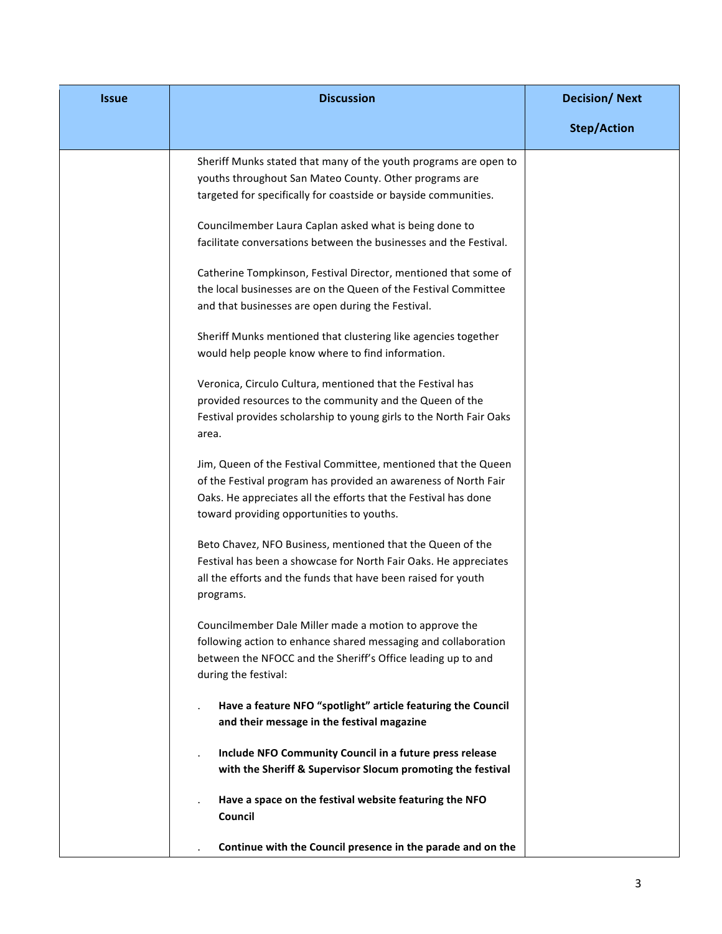| <b>Issue</b> | <b>Discussion</b>                                                                                                                                                                                                                                 | <b>Decision/Next</b> |
|--------------|---------------------------------------------------------------------------------------------------------------------------------------------------------------------------------------------------------------------------------------------------|----------------------|
|              |                                                                                                                                                                                                                                                   | <b>Step/Action</b>   |
|              | Sheriff Munks stated that many of the youth programs are open to<br>youths throughout San Mateo County. Other programs are<br>targeted for specifically for coastside or bayside communities.                                                     |                      |
|              | Councilmember Laura Caplan asked what is being done to<br>facilitate conversations between the businesses and the Festival.                                                                                                                       |                      |
|              | Catherine Tompkinson, Festival Director, mentioned that some of<br>the local businesses are on the Queen of the Festival Committee<br>and that businesses are open during the Festival.                                                           |                      |
|              | Sheriff Munks mentioned that clustering like agencies together<br>would help people know where to find information.                                                                                                                               |                      |
|              | Veronica, Circulo Cultura, mentioned that the Festival has<br>provided resources to the community and the Queen of the<br>Festival provides scholarship to young girls to the North Fair Oaks<br>area.                                            |                      |
|              | Jim, Queen of the Festival Committee, mentioned that the Queen<br>of the Festival program has provided an awareness of North Fair<br>Oaks. He appreciates all the efforts that the Festival has done<br>toward providing opportunities to youths. |                      |
|              | Beto Chavez, NFO Business, mentioned that the Queen of the<br>Festival has been a showcase for North Fair Oaks. He appreciates<br>all the efforts and the funds that have been raised for youth<br>programs.                                      |                      |
|              | Councilmember Dale Miller made a motion to approve the<br>following action to enhance shared messaging and collaboration<br>between the NFOCC and the Sheriff's Office leading up to and<br>during the festival:                                  |                      |
|              | Have a feature NFO "spotlight" article featuring the Council<br>and their message in the festival magazine                                                                                                                                        |                      |
|              | Include NFO Community Council in a future press release<br>with the Sheriff & Supervisor Slocum promoting the festival                                                                                                                            |                      |
|              | Have a space on the festival website featuring the NFO<br>Council                                                                                                                                                                                 |                      |
|              | Continue with the Council presence in the parade and on the                                                                                                                                                                                       |                      |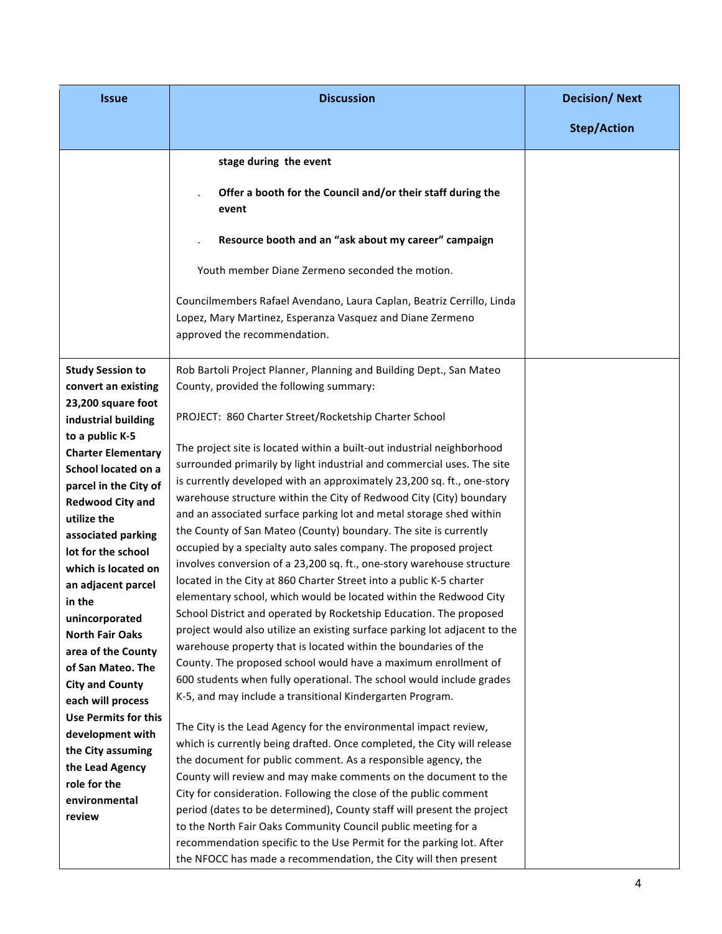| <b>Issue</b>                              | <b>Discussion</b>                                                                                                                                                  | <b>Decision/Next</b> |
|-------------------------------------------|--------------------------------------------------------------------------------------------------------------------------------------------------------------------|----------------------|
|                                           |                                                                                                                                                                    | <b>Step/Action</b>   |
|                                           | stage during the event                                                                                                                                             |                      |
|                                           | Offer a booth for the Council and/or their staff during the<br>event                                                                                               |                      |
|                                           | Resource booth and an "ask about my career" campaign                                                                                                               |                      |
|                                           | Youth member Diane Zermeno seconded the motion.                                                                                                                    |                      |
|                                           | Councilmembers Rafael Avendano, Laura Caplan, Beatriz Cerrillo, Linda<br>Lopez, Mary Martinez, Esperanza Vasquez and Diane Zermeno<br>approved the recommendation. |                      |
| <b>Study Session to</b>                   | Rob Bartoli Project Planner, Planning and Building Dept., San Mateo                                                                                                |                      |
| convert an existing                       | County, provided the following summary:                                                                                                                            |                      |
| 23,200 square foot<br>industrial building | PROJECT: 860 Charter Street/Rocketship Charter School                                                                                                              |                      |
| to a public K-5                           |                                                                                                                                                                    |                      |
| <b>Charter Elementary</b>                 | The project site is located within a built-out industrial neighborhood                                                                                             |                      |
| School located on a                       | surrounded primarily by light industrial and commercial uses. The site                                                                                             |                      |
| parcel in the City of                     | is currently developed with an approximately 23,200 sq. ft., one-story                                                                                             |                      |
| <b>Redwood City and</b>                   | warehouse structure within the City of Redwood City (City) boundary                                                                                                |                      |
| utilize the                               | and an associated surface parking lot and metal storage shed within                                                                                                |                      |
| associated parking                        | the County of San Mateo (County) boundary. The site is currently                                                                                                   |                      |
| lot for the school                        | occupied by a specialty auto sales company. The proposed project                                                                                                   |                      |
| which is located on                       | involves conversion of a 23,200 sq. ft., one-story warehouse structure                                                                                             |                      |
| an adjacent parcel                        | located in the City at 860 Charter Street into a public K-5 charter                                                                                                |                      |
| in the                                    | elementary school, which would be located within the Redwood City                                                                                                  |                      |
| unincorporated                            | School District and operated by Rocketship Education. The proposed                                                                                                 |                      |
| <b>North Fair Oaks</b>                    | project would also utilize an existing surface parking lot adjacent to the                                                                                         |                      |
| area of the County                        | warehouse property that is located within the boundaries of the                                                                                                    |                      |
| of San Mateo. The                         | County. The proposed school would have a maximum enrollment of                                                                                                     |                      |
| <b>City and County</b>                    | 600 students when fully operational. The school would include grades                                                                                               |                      |
| each will process                         | K-5, and may include a transitional Kindergarten Program.                                                                                                          |                      |
| <b>Use Permits for this</b>               | The City is the Lead Agency for the environmental impact review,                                                                                                   |                      |
| development with                          | which is currently being drafted. Once completed, the City will release                                                                                            |                      |
| the City assuming                         | the document for public comment. As a responsible agency, the                                                                                                      |                      |
| the Lead Agency                           | County will review and may make comments on the document to the                                                                                                    |                      |
| role for the                              | City for consideration. Following the close of the public comment                                                                                                  |                      |
| environmental                             | period (dates to be determined), County staff will present the project                                                                                             |                      |
| review                                    | to the North Fair Oaks Community Council public meeting for a                                                                                                      |                      |
|                                           | recommendation specific to the Use Permit for the parking lot. After                                                                                               |                      |
|                                           | the NFOCC has made a recommendation, the City will then present                                                                                                    |                      |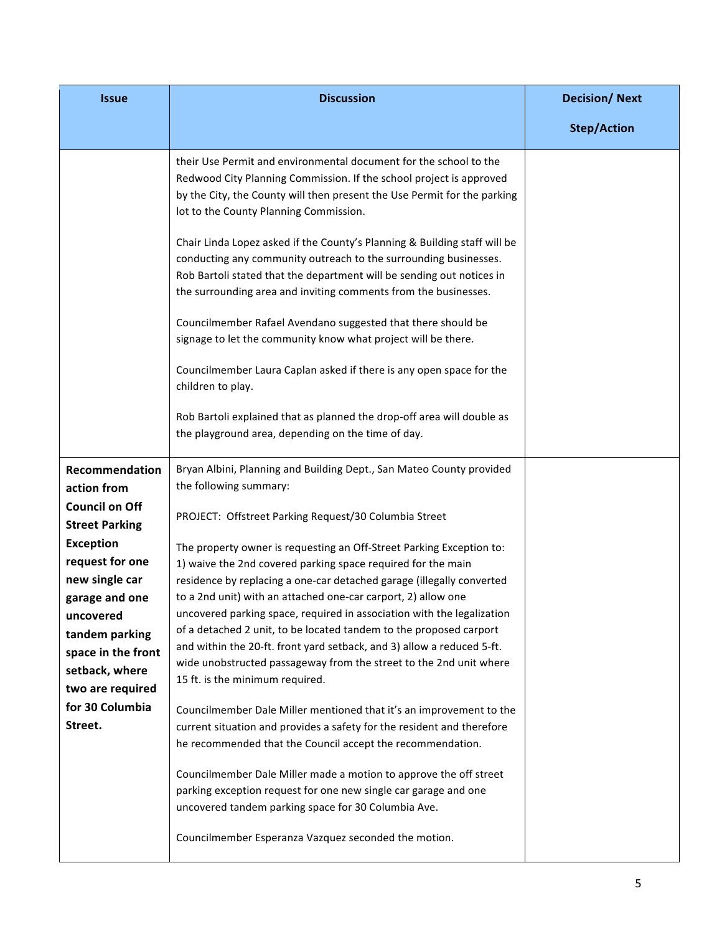| <b>Issue</b>                                          | <b>Discussion</b>                                                                                                                                                                                                                                                                         | <b>Decision/Next</b> |
|-------------------------------------------------------|-------------------------------------------------------------------------------------------------------------------------------------------------------------------------------------------------------------------------------------------------------------------------------------------|----------------------|
|                                                       |                                                                                                                                                                                                                                                                                           | <b>Step/Action</b>   |
|                                                       | their Use Permit and environmental document for the school to the<br>Redwood City Planning Commission. If the school project is approved<br>by the City, the County will then present the Use Permit for the parking<br>lot to the County Planning Commission.                            |                      |
|                                                       | Chair Linda Lopez asked if the County's Planning & Building staff will be<br>conducting any community outreach to the surrounding businesses.<br>Rob Bartoli stated that the department will be sending out notices in<br>the surrounding area and inviting comments from the businesses. |                      |
|                                                       | Councilmember Rafael Avendano suggested that there should be<br>signage to let the community know what project will be there.                                                                                                                                                             |                      |
|                                                       | Councilmember Laura Caplan asked if there is any open space for the<br>children to play.                                                                                                                                                                                                  |                      |
|                                                       | Rob Bartoli explained that as planned the drop-off area will double as<br>the playground area, depending on the time of day.                                                                                                                                                              |                      |
| Recommendation<br>action from                         | Bryan Albini, Planning and Building Dept., San Mateo County provided<br>the following summary:                                                                                                                                                                                            |                      |
| <b>Council on Off</b><br><b>Street Parking</b>        | PROJECT: Offstreet Parking Request/30 Columbia Street                                                                                                                                                                                                                                     |                      |
| <b>Exception</b><br>request for one<br>new single car | The property owner is requesting an Off-Street Parking Exception to:<br>1) waive the 2nd covered parking space required for the main<br>residence by replacing a one-car detached garage (illegally converted                                                                             |                      |
| garage and one<br>uncovered                           | to a 2nd unit) with an attached one-car carport, 2) allow one<br>uncovered parking space, required in association with the legalization                                                                                                                                                   |                      |
| tandem parking<br>space in the front                  | of a detached 2 unit, to be located tandem to the proposed carport<br>and within the 20-ft. front yard setback, and 3) allow a reduced 5-ft.<br>wide unobstructed passageway from the street to the 2nd unit where                                                                        |                      |
| setback, where<br>two are required<br>for 30 Columbia | 15 ft. is the minimum required.                                                                                                                                                                                                                                                           |                      |
| Street.                                               | Councilmember Dale Miller mentioned that it's an improvement to the<br>current situation and provides a safety for the resident and therefore<br>he recommended that the Council accept the recommendation.                                                                               |                      |
|                                                       | Councilmember Dale Miller made a motion to approve the off street<br>parking exception request for one new single car garage and one<br>uncovered tandem parking space for 30 Columbia Ave.                                                                                               |                      |
|                                                       | Councilmember Esperanza Vazquez seconded the motion.                                                                                                                                                                                                                                      |                      |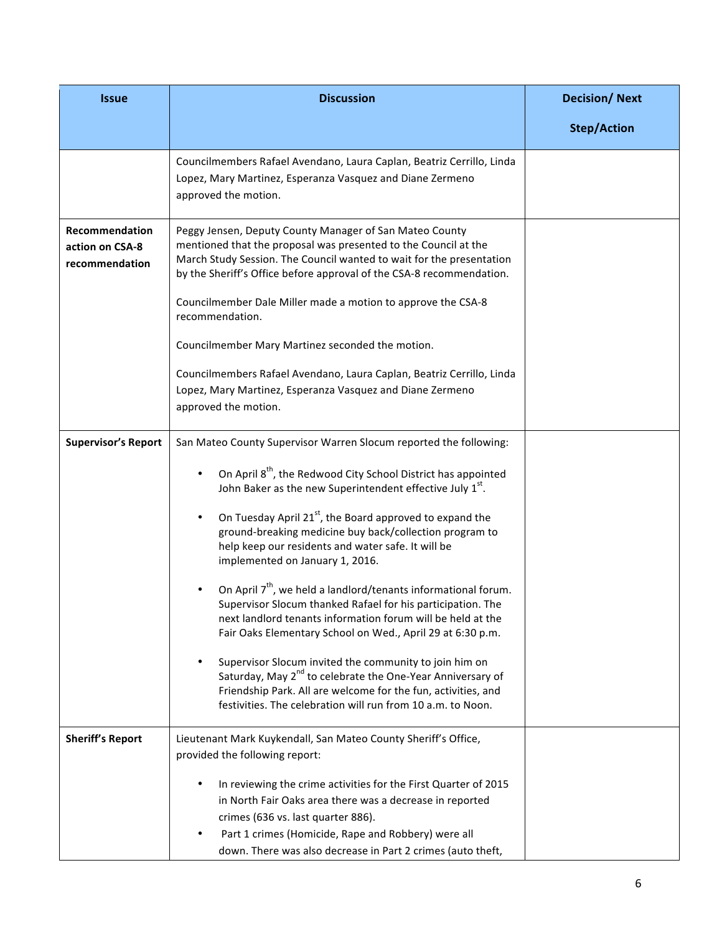| <b>Issue</b>                                        | <b>Discussion</b>                                                                                                                                                                                                                                                                       | <b>Decision/Next</b> |
|-----------------------------------------------------|-----------------------------------------------------------------------------------------------------------------------------------------------------------------------------------------------------------------------------------------------------------------------------------------|----------------------|
|                                                     |                                                                                                                                                                                                                                                                                         | <b>Step/Action</b>   |
|                                                     | Councilmembers Rafael Avendano, Laura Caplan, Beatriz Cerrillo, Linda<br>Lopez, Mary Martinez, Esperanza Vasquez and Diane Zermeno<br>approved the motion.                                                                                                                              |                      |
| Recommendation<br>action on CSA-8<br>recommendation | Peggy Jensen, Deputy County Manager of San Mateo County<br>mentioned that the proposal was presented to the Council at the<br>March Study Session. The Council wanted to wait for the presentation<br>by the Sheriff's Office before approval of the CSA-8 recommendation.              |                      |
|                                                     | Councilmember Dale Miller made a motion to approve the CSA-8<br>recommendation.                                                                                                                                                                                                         |                      |
|                                                     | Councilmember Mary Martinez seconded the motion.                                                                                                                                                                                                                                        |                      |
|                                                     | Councilmembers Rafael Avendano, Laura Caplan, Beatriz Cerrillo, Linda<br>Lopez, Mary Martinez, Esperanza Vasquez and Diane Zermeno<br>approved the motion.                                                                                                                              |                      |
| <b>Supervisor's Report</b>                          | San Mateo County Supervisor Warren Slocum reported the following:                                                                                                                                                                                                                       |                      |
|                                                     | On April 8 <sup>th</sup> , the Redwood City School District has appointed<br>John Baker as the new Superintendent effective July 1 <sup>st</sup> .                                                                                                                                      |                      |
|                                                     | On Tuesday April 21 <sup>st</sup> , the Board approved to expand the<br>ground-breaking medicine buy back/collection program to<br>help keep our residents and water safe. It will be<br>implemented on January 1, 2016.                                                                |                      |
|                                                     | On April 7 <sup>th</sup> , we held a landlord/tenants informational forum.<br>Supervisor Slocum thanked Rafael for his participation. The<br>next landlord tenants information forum will be held at the<br>Fair Oaks Elementary School on Wed., April 29 at 6:30 p.m.                  |                      |
|                                                     | Supervisor Slocum invited the community to join him on<br>٠<br>Saturday, May 2 <sup>nd</sup> to celebrate the One-Year Anniversary of<br>Friendship Park. All are welcome for the fun, activities, and<br>festivities. The celebration will run from 10 a.m. to Noon.                   |                      |
| <b>Sheriff's Report</b>                             | Lieutenant Mark Kuykendall, San Mateo County Sheriff's Office,<br>provided the following report:                                                                                                                                                                                        |                      |
|                                                     | In reviewing the crime activities for the First Quarter of 2015<br>in North Fair Oaks area there was a decrease in reported<br>crimes (636 vs. last quarter 886).<br>Part 1 crimes (Homicide, Rape and Robbery) were all<br>down. There was also decrease in Part 2 crimes (auto theft, |                      |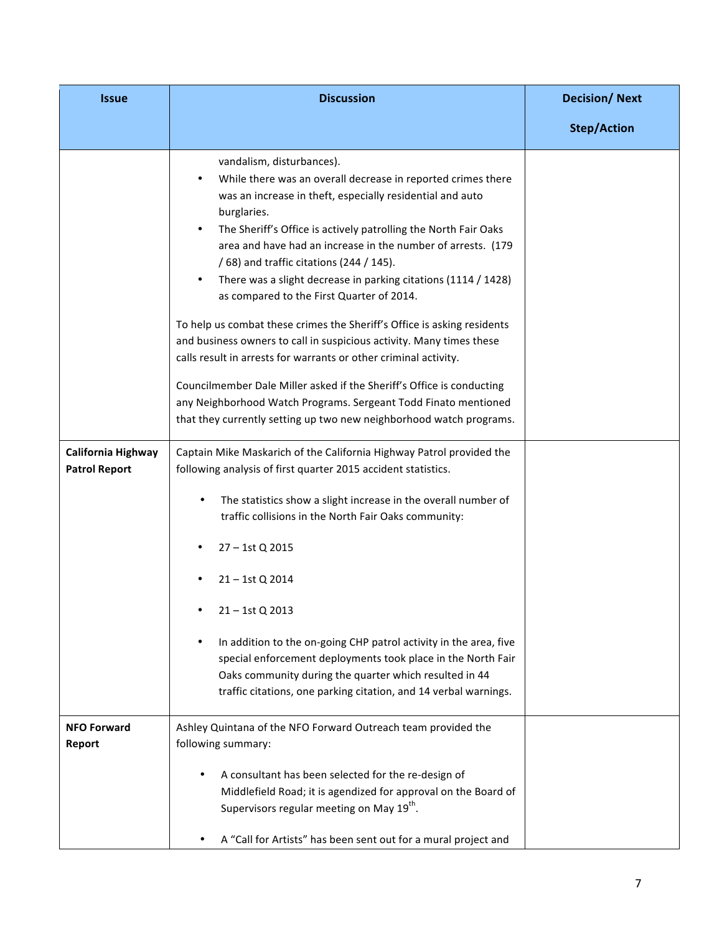| <b>Issue</b>                               | <b>Discussion</b>                                                                                                                                                                                                                                                                                                                                                                                                                                                                                                                                                                                                                                                                                                                                                                                                                                                                                                                                                                                                                                                                                                                                                                                                                                                                                                                                                                                                                                                                                          | <b>Decision/Next</b> |
|--------------------------------------------|------------------------------------------------------------------------------------------------------------------------------------------------------------------------------------------------------------------------------------------------------------------------------------------------------------------------------------------------------------------------------------------------------------------------------------------------------------------------------------------------------------------------------------------------------------------------------------------------------------------------------------------------------------------------------------------------------------------------------------------------------------------------------------------------------------------------------------------------------------------------------------------------------------------------------------------------------------------------------------------------------------------------------------------------------------------------------------------------------------------------------------------------------------------------------------------------------------------------------------------------------------------------------------------------------------------------------------------------------------------------------------------------------------------------------------------------------------------------------------------------------------|----------------------|
|                                            |                                                                                                                                                                                                                                                                                                                                                                                                                                                                                                                                                                                                                                                                                                                                                                                                                                                                                                                                                                                                                                                                                                                                                                                                                                                                                                                                                                                                                                                                                                            | <b>Step/Action</b>   |
| California Highway<br><b>Patrol Report</b> | vandalism, disturbances).<br>While there was an overall decrease in reported crimes there<br>was an increase in theft, especially residential and auto<br>burglaries.<br>The Sheriff's Office is actively patrolling the North Fair Oaks<br>area and have had an increase in the number of arrests. (179<br>/ 68) and traffic citations (244 / 145).<br>There was a slight decrease in parking citations (1114 / 1428)<br>as compared to the First Quarter of 2014.<br>To help us combat these crimes the Sheriff's Office is asking residents<br>and business owners to call in suspicious activity. Many times these<br>calls result in arrests for warrants or other criminal activity.<br>Councilmember Dale Miller asked if the Sheriff's Office is conducting<br>any Neighborhood Watch Programs. Sergeant Todd Finato mentioned<br>that they currently setting up two new neighborhood watch programs.<br>Captain Mike Maskarich of the California Highway Patrol provided the<br>following analysis of first quarter 2015 accident statistics.<br>The statistics show a slight increase in the overall number of<br>traffic collisions in the North Fair Oaks community:<br>27 - 1st Q 2015<br>21 - 1st Q 2014<br>21-1st Q 2013<br>In addition to the on-going CHP patrol activity in the area, five<br>special enforcement deployments took place in the North Fair<br>Oaks community during the quarter which resulted in 44<br>traffic citations, one parking citation, and 14 verbal warnings. |                      |
| <b>NFO Forward</b><br>Report               | Ashley Quintana of the NFO Forward Outreach team provided the<br>following summary:                                                                                                                                                                                                                                                                                                                                                                                                                                                                                                                                                                                                                                                                                                                                                                                                                                                                                                                                                                                                                                                                                                                                                                                                                                                                                                                                                                                                                        |                      |
|                                            | A consultant has been selected for the re-design of<br>٠<br>Middlefield Road; it is agendized for approval on the Board of<br>Supervisors regular meeting on May 19 <sup>th</sup> .<br>A "Call for Artists" has been sent out for a mural project and<br>٠                                                                                                                                                                                                                                                                                                                                                                                                                                                                                                                                                                                                                                                                                                                                                                                                                                                                                                                                                                                                                                                                                                                                                                                                                                                 |                      |